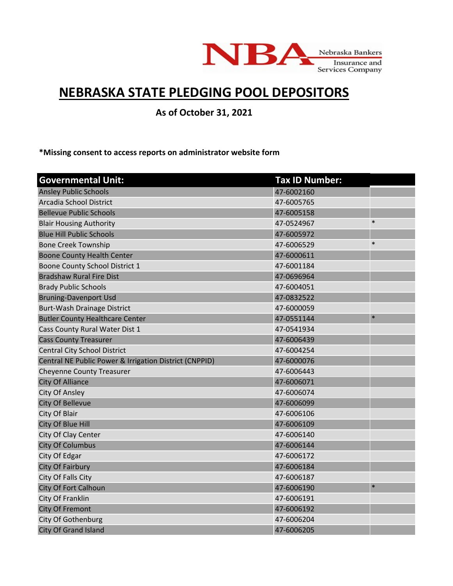

## **NEBRASKA STATE PLEDGING POOL DEPOSITORS**

**As of October 31, 2021**

**\*Missing consent to access reports on administrator website form**

| <b>Governmental Unit:</b>                              | <b>Tax ID Number:</b> |        |
|--------------------------------------------------------|-----------------------|--------|
| <b>Ansley Public Schools</b>                           | 47-6002160            |        |
| Arcadia School District                                | 47-6005765            |        |
| <b>Bellevue Public Schools</b>                         | 47-6005158            |        |
| <b>Blair Housing Authority</b>                         | 47-0524967            | $\ast$ |
| <b>Blue Hill Public Schools</b>                        | 47-6005972            |        |
| <b>Bone Creek Township</b>                             | 47-6006529            | $\ast$ |
| <b>Boone County Health Center</b>                      | 47-6000611            |        |
| Boone County School District 1                         | 47-6001184            |        |
| <b>Bradshaw Rural Fire Dist</b>                        | 47-0696964            |        |
| <b>Brady Public Schools</b>                            | 47-6004051            |        |
| <b>Bruning-Davenport Usd</b>                           | 47-0832522            |        |
| Burt-Wash Drainage District                            | 47-6000059            |        |
| <b>Butler County Healthcare Center</b>                 | 47-0551144            | $\ast$ |
| Cass County Rural Water Dist 1                         | 47-0541934            |        |
| <b>Cass County Treasurer</b>                           | 47-6006439            |        |
| <b>Central City School District</b>                    | 47-6004254            |        |
| Central NE Public Power & Irrigation District (CNPPID) | 47-6000076            |        |
| <b>Cheyenne County Treasurer</b>                       | 47-6006443            |        |
| <b>City Of Alliance</b>                                | 47-6006071            |        |
| City Of Ansley                                         | 47-6006074            |        |
| <b>City Of Bellevue</b>                                | 47-6006099            |        |
| City Of Blair                                          | 47-6006106            |        |
| City Of Blue Hill                                      | 47-6006109            |        |
| City Of Clay Center                                    | 47-6006140            |        |
| <b>City Of Columbus</b>                                | 47-6006144            |        |
| City Of Edgar                                          | 47-6006172            |        |
| City Of Fairbury                                       | 47-6006184            |        |
| City Of Falls City                                     | 47-6006187            |        |
| <b>City Of Fort Calhoun</b>                            | 47-6006190            | $\ast$ |
| City Of Franklin                                       | 47-6006191            |        |
| <b>City Of Fremont</b>                                 | 47-6006192            |        |
| City Of Gothenburg                                     | 47-6006204            |        |
| <b>City Of Grand Island</b>                            | 47-6006205            |        |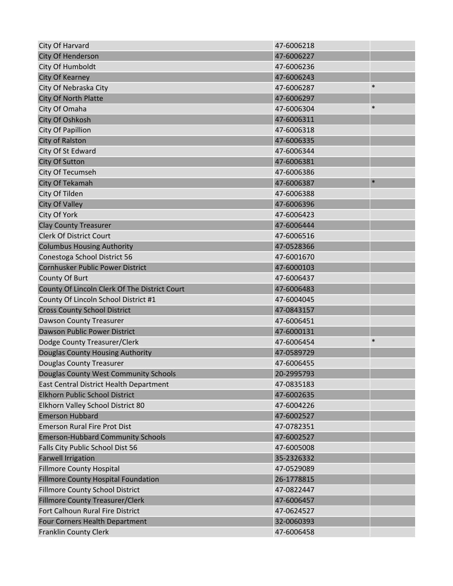| City Of Harvard                               | 47-6006218 |        |
|-----------------------------------------------|------------|--------|
| <b>City Of Henderson</b>                      | 47-6006227 |        |
| City Of Humboldt                              | 47-6006236 |        |
| City Of Kearney                               | 47-6006243 |        |
| City Of Nebraska City                         | 47-6006287 | $\ast$ |
| <b>City Of North Platte</b>                   | 47-6006297 |        |
| City Of Omaha                                 | 47-6006304 | $\ast$ |
| City Of Oshkosh                               | 47-6006311 |        |
| <b>City Of Papillion</b>                      | 47-6006318 |        |
| City of Ralston                               | 47-6006335 |        |
| City Of St Edward                             | 47-6006344 |        |
| <b>City Of Sutton</b>                         | 47-6006381 |        |
| City Of Tecumseh                              | 47-6006386 |        |
| City Of Tekamah                               | 47-6006387 | $\ast$ |
| City Of Tilden                                | 47-6006388 |        |
| <b>City Of Valley</b>                         | 47-6006396 |        |
| City Of York                                  | 47-6006423 |        |
| <b>Clay County Treasurer</b>                  | 47-6006444 |        |
| <b>Clerk Of District Court</b>                | 47-6006516 |        |
| <b>Columbus Housing Authority</b>             | 47-0528366 |        |
| Conestoga School District 56                  | 47-6001670 |        |
| Cornhusker Public Power District              | 47-6000103 |        |
| County Of Burt                                | 47-6006437 |        |
| County Of Lincoln Clerk Of The District Court | 47-6006483 |        |
| County Of Lincoln School District #1          | 47-6004045 |        |
| <b>Cross County School District</b>           | 47-0843157 |        |
| Dawson County Treasurer                       | 47-6006451 |        |
| Dawson Public Power District                  | 47-6000131 |        |
| Dodge County Treasurer/Clerk                  | 47-6006454 | $\ast$ |
| Douglas County Housing Authority              | 47-0589729 |        |
| Douglas County Treasurer                      | 47-6006455 |        |
| Douglas County West Community Schools         | 20-2995793 |        |
| East Central District Health Department       | 47-0835183 |        |
| Elkhorn Public School District                | 47-6002635 |        |
| Elkhorn Valley School District 80             | 47-6004226 |        |
| <b>Emerson Hubbard</b>                        | 47-6002527 |        |
| <b>Emerson Rural Fire Prot Dist</b>           | 47-0782351 |        |
| <b>Emerson-Hubbard Community Schools</b>      | 47-6002527 |        |
| Falls City Public School Dist 56              | 47-6005008 |        |
| <b>Farwell Irrigation</b>                     | 35-2326332 |        |
| <b>Fillmore County Hospital</b>               | 47-0529089 |        |
| <b>Fillmore County Hospital Foundation</b>    | 26-1778815 |        |
| <b>Fillmore County School District</b>        | 47-0822447 |        |
| Fillmore County Treasurer/Clerk               | 47-6006457 |        |
| Fort Calhoun Rural Fire District              | 47-0624527 |        |
| Four Corners Health Department                | 32-0060393 |        |
| <b>Franklin County Clerk</b>                  | 47-6006458 |        |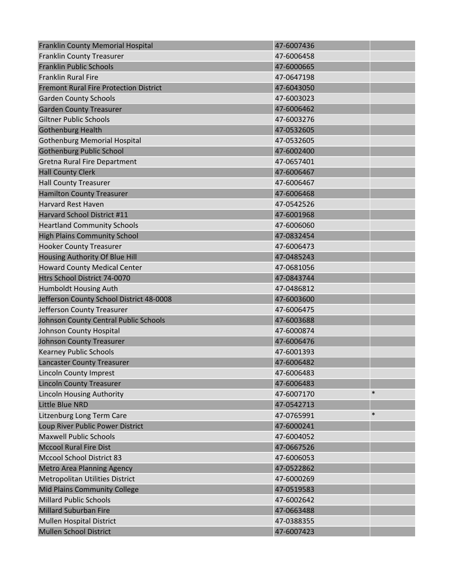| Franklin County Memorial Hospital             | 47-6007436 |        |
|-----------------------------------------------|------------|--------|
| <b>Franklin County Treasurer</b>              | 47-6006458 |        |
| <b>Franklin Public Schools</b>                | 47-6000665 |        |
| <b>Franklin Rural Fire</b>                    | 47-0647198 |        |
| <b>Fremont Rural Fire Protection District</b> | 47-6043050 |        |
| <b>Garden County Schools</b>                  | 47-6003023 |        |
| <b>Garden County Treasurer</b>                | 47-6006462 |        |
| <b>Giltner Public Schools</b>                 | 47-6003276 |        |
| <b>Gothenburg Health</b>                      | 47-0532605 |        |
| <b>Gothenburg Memorial Hospital</b>           | 47-0532605 |        |
| <b>Gothenburg Public School</b>               | 47-6002400 |        |
| Gretna Rural Fire Department                  | 47-0657401 |        |
| <b>Hall County Clerk</b>                      | 47-6006467 |        |
| <b>Hall County Treasurer</b>                  | 47-6006467 |        |
| <b>Hamilton County Treasurer</b>              | 47-6006468 |        |
| <b>Harvard Rest Haven</b>                     | 47-0542526 |        |
| <b>Harvard School District #11</b>            | 47-6001968 |        |
| <b>Heartland Community Schools</b>            | 47-6006060 |        |
| <b>High Plains Community School</b>           | 47-0832454 |        |
| <b>Hooker County Treasurer</b>                | 47-6006473 |        |
| Housing Authority Of Blue Hill                | 47-0485243 |        |
| <b>Howard County Medical Center</b>           | 47-0681056 |        |
| Htrs School District 74-0070                  | 47-0843744 |        |
| Humboldt Housing Auth                         | 47-0486812 |        |
| Jefferson County School District 48-0008      | 47-6003600 |        |
| Jefferson County Treasurer                    | 47-6006475 |        |
| Johnson County Central Public Schools         | 47-6003688 |        |
| Johnson County Hospital                       | 47-6000874 |        |
| <b>Johnson County Treasurer</b>               | 47-6006476 |        |
| <b>Kearney Public Schools</b>                 | 47-6001393 |        |
| <b>Lancaster County Treasurer</b>             | 47-6006482 |        |
| <b>Lincoln County Imprest</b>                 | 47-6006483 |        |
| <b>Lincoln County Treasurer</b>               | 47-6006483 |        |
| <b>Lincoln Housing Authority</b>              | 47-6007170 | $\ast$ |
| <b>Little Blue NRD</b>                        | 47-0542713 |        |
| Litzenburg Long Term Care                     | 47-0765991 | $\ast$ |
| Loup River Public Power District              | 47-6000241 |        |
| <b>Maxwell Public Schools</b>                 | 47-6004052 |        |
| <b>Mccool Rural Fire Dist</b>                 | 47-0667526 |        |
| <b>Mccool School District 83</b>              | 47-6006053 |        |
| <b>Metro Area Planning Agency</b>             | 47-0522862 |        |
| Metropolitan Utilities District               | 47-6000269 |        |
| Mid Plains Community College                  | 47-0519583 |        |
| <b>Millard Public Schools</b>                 | 47-6002642 |        |
| <b>Millard Suburban Fire</b>                  | 47-0663488 |        |
| <b>Mullen Hospital District</b>               | 47-0388355 |        |
| <b>Mullen School District</b>                 | 47-6007423 |        |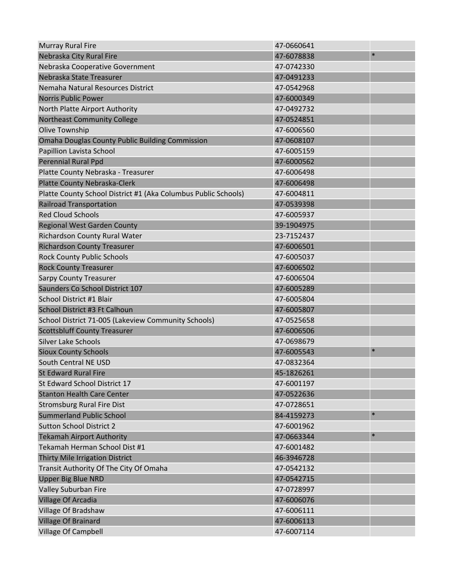| <b>Murray Rural Fire</b>                                       | 47-0660641 |        |
|----------------------------------------------------------------|------------|--------|
| Nebraska City Rural Fire                                       | 47-6078838 | $\ast$ |
| Nebraska Cooperative Government                                | 47-0742330 |        |
| Nebraska State Treasurer                                       | 47-0491233 |        |
| Nemaha Natural Resources District                              | 47-0542968 |        |
| <b>Norris Public Power</b>                                     | 47-6000349 |        |
| North Platte Airport Authority                                 | 47-0492732 |        |
| <b>Northeast Community College</b>                             | 47-0524851 |        |
| Olive Township                                                 | 47-6006560 |        |
| <b>Omaha Douglas County Public Building Commission</b>         | 47-0608107 |        |
| Papillion Lavista School                                       | 47-6005159 |        |
| <b>Perennial Rural Ppd</b>                                     | 47-6000562 |        |
| Platte County Nebraska - Treasurer                             | 47-6006498 |        |
| Platte County Nebraska-Clerk                                   | 47-6006498 |        |
| Platte County School District #1 (Aka Columbus Public Schools) | 47-6004811 |        |
| <b>Railroad Transportation</b>                                 | 47-0539398 |        |
| <b>Red Cloud Schools</b>                                       | 47-6005937 |        |
| <b>Regional West Garden County</b>                             | 39-1904975 |        |
| Richardson County Rural Water                                  | 23-7152437 |        |
| <b>Richardson County Treasurer</b>                             | 47-6006501 |        |
| <b>Rock County Public Schools</b>                              | 47-6005037 |        |
| <b>Rock County Treasurer</b>                                   | 47-6006502 |        |
| <b>Sarpy County Treasurer</b>                                  | 47-6006504 |        |
| Saunders Co School District 107                                | 47-6005289 |        |
| School District #1 Blair                                       | 47-6005804 |        |
| School District #3 Ft Calhoun                                  | 47-6005807 |        |
| School District 71-005 (Lakeview Community Schools)            | 47-0525658 |        |
| <b>Scottsbluff County Treasurer</b>                            | 47-6006506 |        |
| <b>Silver Lake Schools</b>                                     | 47-0698679 |        |
| <b>Sioux County Schools</b>                                    | 47-6005543 | $\ast$ |
| South Central NE USD                                           | 47-0832364 |        |
| <b>St Edward Rural Fire</b>                                    | 45-1826261 |        |
| St Edward School District 17                                   | 47-6001197 |        |
| <b>Stanton Health Care Center</b>                              | 47-0522636 |        |
| <b>Stromsburg Rural Fire Dist</b>                              | 47-0728651 |        |
| <b>Summerland Public School</b>                                | 84-4159273 | $\ast$ |
| <b>Sutton School District 2</b>                                | 47-6001962 |        |
| <b>Tekamah Airport Authority</b>                               | 47-0663344 | $\ast$ |
| Tekamah Herman School Dist #1                                  | 47-6001482 |        |
| Thirty Mile Irrigation District                                | 46-3946728 |        |
| Transit Authority Of The City Of Omaha                         | 47-0542132 |        |
| <b>Upper Big Blue NRD</b>                                      | 47-0542715 |        |
| Valley Suburban Fire                                           | 47-0728997 |        |
| Village Of Arcadia                                             | 47-6006076 |        |
| Village Of Bradshaw                                            | 47-6006111 |        |
| Village Of Brainard                                            | 47-6006113 |        |
| Village Of Campbell                                            | 47-6007114 |        |